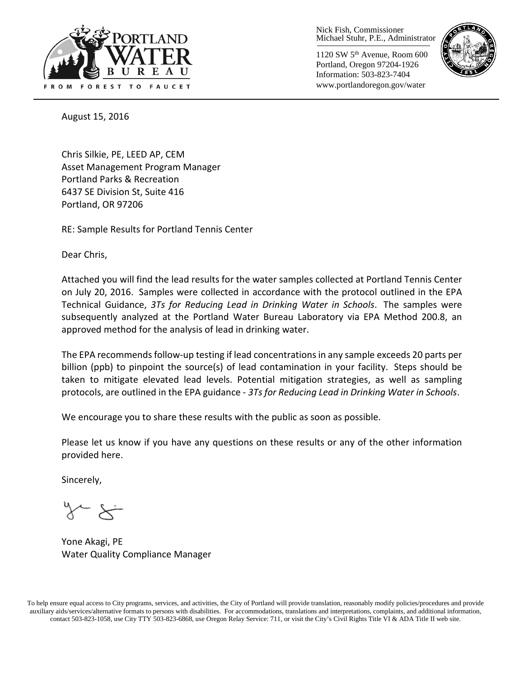

Nick Fish, Commissioner Michael Stuhr, P.E., Administrator

1120 SW 5th Avenue, Room 600 Portland, Oregon 97204-1926 Information: 503-823-7404 www.portlandoregon.gov/water



August 15, 2016

Chris Silkie, PE, LEED AP, CEM Asset Management Program Manager Portland Parks & Recreation 6437 SE Division St, Suite 416 Portland, OR 97206

RE: Sample Results for Portland Tennis Center

Dear Chris,

Attached you will find the lead results for the water samples collected at Portland Tennis Center on July 20, 2016. Samples were collected in accordance with the protocol outlined in the EPA Technical Guidance, *3Ts for Reducing Lead in Drinking Water in Schools*. The samples were subsequently analyzed at the Portland Water Bureau Laboratory via EPA Method 200.8, an approved method for the analysis of lead in drinking water.

The EPA recommends follow-up testing if lead concentrations in any sample exceeds 20 parts per billion (ppb) to pinpoint the source(s) of lead contamination in your facility. Steps should be taken to mitigate elevated lead levels. Potential mitigation strategies, as well as sampling protocols, are outlined in the EPA guidance - *3Ts for Reducing Lead in Drinking Water in Schools*.

We encourage you to share these results with the public as soon as possible.

Please let us know if you have any questions on these results or any of the other information provided here.

Sincerely,

Yone Akagi, PE Water Quality Compliance Manager

To help ensure equal access to City programs, services, and activities, the City of Portland will provide translation, reasonably modify policies/procedures and provide auxiliary aids/services/alternative formats to persons with disabilities. For accommodations, translations and interpretations, complaints, and additional information, contact 503-823-1058, use City TTY 503-823-6868, use Oregon Relay Service: 711, or visi[t the City's Civil Rights Title VI & ADA Title II web site.](http://www.portlandoregon.gov/oehr/66458)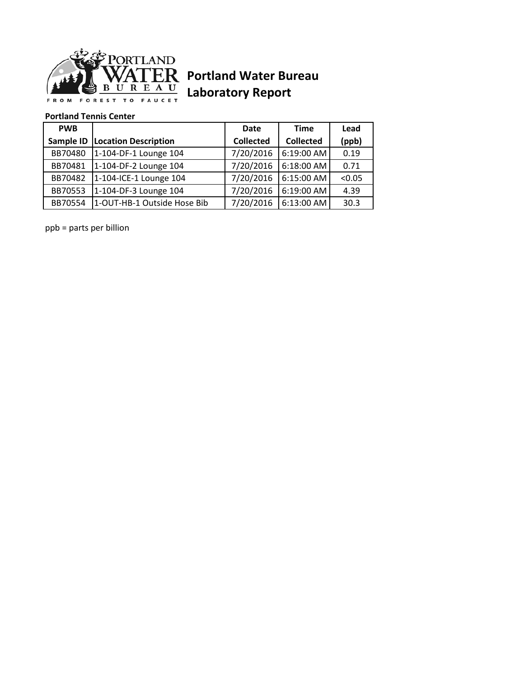

## **Portland Water Bureau Laboratory Report**

## **Portland Tennis Center**

| <b>PWB</b> |                             | Date             | <b>Time</b>      | Lead   |
|------------|-----------------------------|------------------|------------------|--------|
| Sample ID  | <b>Location Description</b> | <b>Collected</b> | <b>Collected</b> | (ppb)  |
| BB70480    | 1-104-DF-1 Lounge 104       | 7/20/2016        | 6:19:00 AM       | 0.19   |
| BB70481    | 1-104-DF-2 Lounge 104       | 7/20/2016        | $6:18:00$ AM     | 0.71   |
| BB70482    | 1-104-ICE-1 Lounge 104      | 7/20/2016        | 6:15:00 AM       | < 0.05 |
| BB70553    | 1-104-DF-3 Lounge 104       | 7/20/2016        | 6:19:00 AM       | 4.39   |
| BB70554    | 1-OUT-HB-1 Outside Hose Bib | 7/20/2016        | 6:13:00 AM       | 30.3   |

ppb = parts per billion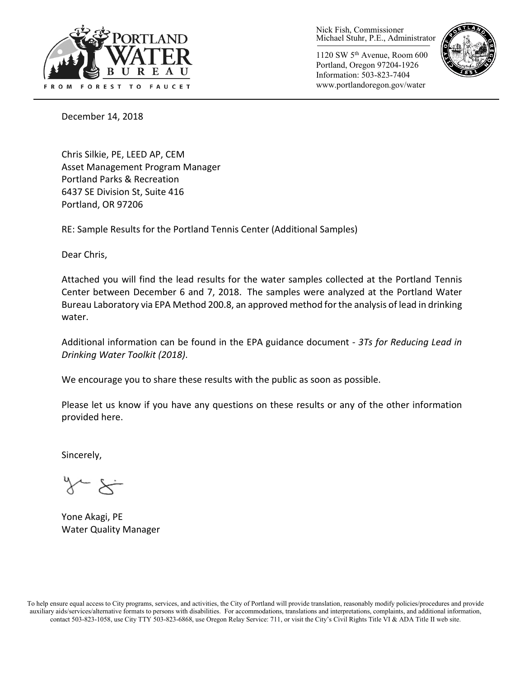

Nick Fish, Commissioner Michael Stuhr, P.E., Administrator

1120 SW 5th Avenue, Room 600 Portland, Oregon 97204-1926 Information: 503-823-7404 www.portlandoregon.gov/water



December 14, 2018

Chris Silkie, PE, LEED AP, CEM Asset Management Program Manager Portland Parks & Recreation 6437 SE Division St, Suite 416 Portland, OR 97206

RE: Sample Results for the Portland Tennis Center (Additional Samples)

Dear Chris,

Attached you will find the lead results for the water samples collected at the Portland Tennis Center between December 6 and 7, 2018. The samples were analyzed at the Portland Water Bureau Laboratory via EPA Method 200.8, an approved method for the analysis of lead in drinking water.

Additional information can be found in the EPA guidance document - *3Ts for Reducing Lead in Drinking Water Toolkit (2018)*.

We encourage you to share these results with the public as soon as possible.

Please let us know if you have any questions on these results or any of the other information provided here.

Sincerely,

Yone Akagi, PE Water Quality Manager

To help ensure equal access to City programs, services, and activities, the City of Portland will provide translation, reasonably modify policies/procedures and provide auxiliary aids/services/alternative formats to persons with disabilities. For accommodations, translations and interpretations, complaints, and additional information, contact 503-823-1058, use City TTY 503-823-6868, use Oregon Relay Service: 711, or visi[t the City's Civil Rights Title VI & ADA Title II web site.](http://www.portlandoregon.gov/oehr/66458)